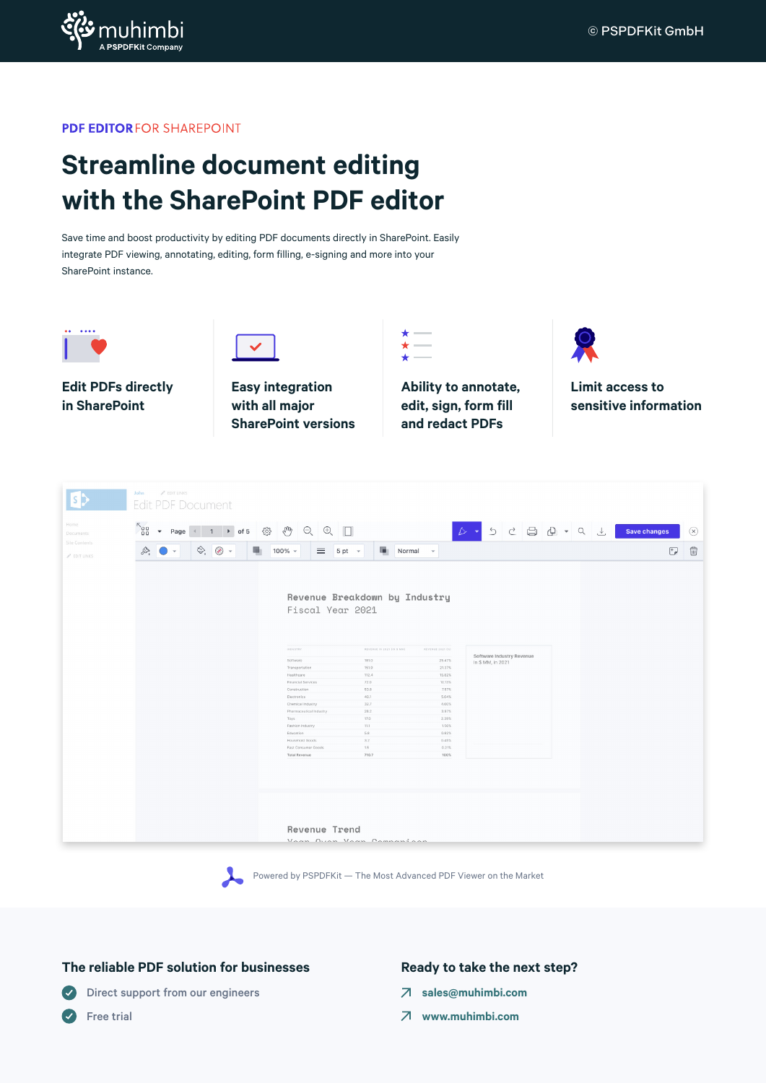

**PDF EDITORFOR SHAREPOINT** 

# **Streamline document editing with the SharePoint PDF editor**

Save time and boost productivity by editing PDF documents directly in SharePoint. Easily integrate PDF viewing, annotating, editing, form filling, e-signing and more into your SharePoint instance.







**Easy integration with all major SharePoint versions** **Ability to annotate, edit, sign, form fill and redact PDFs**

**Limit access to sensitive information**

|                                           | <b>John</b><br>$P$ EDIT LINKS<br><b>Edit PDF Document</b>                                                                                                                                                                                                                                                                                                                                                                                                                                      |                                                                                                                                                                                                                                                                                                                                                                                                                                                                          |                                                                                                                                                                                                     |                                     |
|-------------------------------------------|------------------------------------------------------------------------------------------------------------------------------------------------------------------------------------------------------------------------------------------------------------------------------------------------------------------------------------------------------------------------------------------------------------------------------------------------------------------------------------------------|--------------------------------------------------------------------------------------------------------------------------------------------------------------------------------------------------------------------------------------------------------------------------------------------------------------------------------------------------------------------------------------------------------------------------------------------------------------------------|-----------------------------------------------------------------------------------------------------------------------------------------------------------------------------------------------------|-------------------------------------|
| Home<br><b>Documents</b>                  | $58^\circ$<br>Page 4 1 ▶ of 5 戀 心 Q ① □<br>$\mathbf{v}$ .                                                                                                                                                                                                                                                                                                                                                                                                                                      |                                                                                                                                                                                                                                                                                                                                                                                                                                                                          |                                                                                                                                                                                                     | Save changes<br>$(\times)$          |
| Site Contents<br>$\mathscr{O}$ EDIT LINKS | $\begin{matrix} 1 & 0 \\ 0 & 1 \end{matrix} \begin{matrix} 0 & 0 \\ 0 & 0 \end{matrix} \begin{matrix} 0 & 0 \\ 0 & 0 \end{matrix}$<br>局<br>$\begin{picture}(20,20) \put(0,0){\line(1,0){10}} \put(15,0){\line(1,0){10}} \put(15,0){\line(1,0){10}} \put(15,0){\line(1,0){10}} \put(15,0){\line(1,0){10}} \put(15,0){\line(1,0){10}} \put(15,0){\line(1,0){10}} \put(15,0){\line(1,0){10}} \put(15,0){\line(1,0){10}} \put(15,0){\line(1,0){10}} \put(15,0){\line(1,0){10}} \put(15,0){\line(1$ | п.<br>$100\%$ +<br>$=$<br>$5pt$ $\star$                                                                                                                                                                                                                                                                                                                                                                                                                                  | Normal +                                                                                                                                                                                            | $\oplus$<br>$\overline{\mathbb{F}}$ |
|                                           |                                                                                                                                                                                                                                                                                                                                                                                                                                                                                                | Revenue Breakdown by Industry<br>Fiscal Year 2021<br>INDUSTRY<br>REVENUE IN 2021 (IN \$ MM)<br>Software<br>181.0<br>Transportation<br>151.9<br>112.4<br>Healthcare<br>72.0<br>Financial Services<br>53.8<br>Construction<br>40.1<br>Electronics<br>32.7<br>Chemical Industry<br>Pharmaceutical Industry<br>28.2<br>17.0<br>Toys<br>Fashion Industry<br>11.1<br>Education<br>5.8<br>Household Goods<br>3.2<br>1.5<br>Fast Consumer Goods<br><b>Total Revenue</b><br>710.7 | REVENUE 2021 (%)<br>Software Industry Revenue<br>25.47%<br>In \$ MM, in 2021<br>21.37%<br>15.82%<br>10.13%<br>7.57%<br>5.64%<br>4.60%<br>3.97%<br>2.39%<br>1.56%<br>0.82%<br>0.45%<br>0.21%<br>100% |                                     |
|                                           |                                                                                                                                                                                                                                                                                                                                                                                                                                                                                                | Revenue Trend<br>Voon Avon Voon Companison                                                                                                                                                                                                                                                                                                                                                                                                                               |                                                                                                                                                                                                     |                                     |



### **The reliable PDF solution for businesses**

#### **Direct support from our engineers**

**S** Free trial

### **Ready to take the next step?**

- **[sales@muhimbi.com](mailto:sales%40muhimbi.com?subject=)**
- **[www.muhimbi.com](http://www.muhimbi.com)**